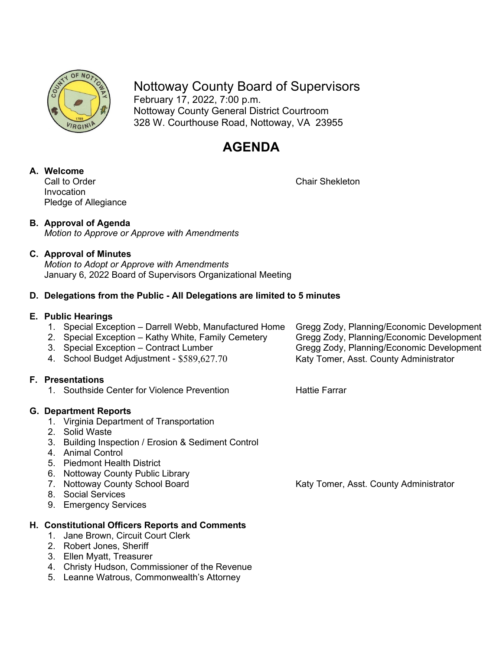

Nottoway County Board of Supervisors February 17, 2022, 7:00 p.m. Nottoway County General District Courtroom 328 W. Courthouse Road, Nottoway, VA 23955

## **AGENDA**

# **A. Welcome**

Invocation Pledge of Allegiance Chair Shekleton

## **B. Approval of Agenda**

*Motion to Approve or Approve with Amendments*

## **C. Approval of Minutes**

*Motion to Adopt or Approve with Amendments* January 6, 2022 Board of Supervisors Organizational Meeting

## **D. Delegations from the Public - All Delegations are limited to 5 minutes**

#### **E. Public Hearings**

- 1. Special Exception Darrell Webb, Manufactured Home Gregg Zody, Planning/Economic Development
	-
	-
	-

## **F. Presentations**

1. Southside Center for Violence Prevention The Mattie Farrar

## **G. Department Reports**

- 1. Virginia Department of Transportation
- 2. Solid Waste
- 3. Building Inspection / Erosion & Sediment Control
- 4. Animal Control
- 5. Piedmont Health District
- 6. Nottoway County Public Library<br>7. Nottoway County School Board
- 
- 8. Social Services
- 9. Emergency Services

## **H. Constitutional Officers Reports and Comments**

- 1. Jane Brown, Circuit Court Clerk
- 2. Robert Jones, Sheriff
- 3. Ellen Myatt, Treasurer
- 4. Christy Hudson, Commissioner of the Revenue
- 5. Leanne Watrous, Commonwealth's Attorney

2. Special Exception – Kathy White, Family Cemetery Gregg Zody, Planning/Economic Development<br>3. Special Exception – Contract Lumber Gregg Zody, Planning/Economic Development Gregg Zody, Planning/Economic Development 4. School Budget Adjustment - \$589,627.70 Katy Tomer, Asst. County Administrator

Katy Tomer, Asst. County Administrator